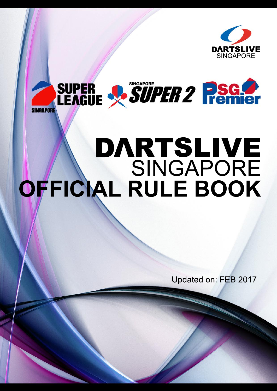



# **OFFICIAL RULE BOOK** SINGAPORE DARTSLIVE

Updated on: FEB 2017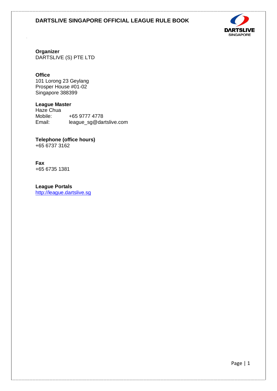

**Organizer**

DARTSLIVE (S) PTE LTD

## **Office**

101 Lorong 23 Geylang Prosper House #01-02 Singapore 388399

# **League Master**

Haze Chua Mobile: +65 9777 4778<br>Email: league sg@dai league\_sg@dartslive.com

**Telephone (office hours)** +65 6737 3162

**Fax** +65 6735 1381

**League Portals** [http://league.dartslive.sg](http://league.dartslive.sg/)

Page | 1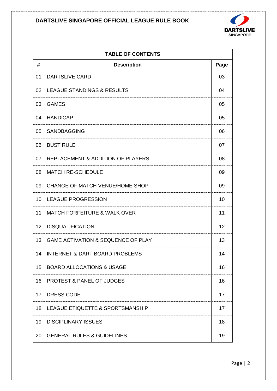

|    | <b>TABLE OF CONTENTS</b>                      |      |  |
|----|-----------------------------------------------|------|--|
| #  | <b>Description</b>                            | Page |  |
| 01 | <b>DARTSLIVE CARD</b>                         | 03   |  |
| 02 | <b>LEAGUE STANDINGS &amp; RESULTS</b>         | 04   |  |
| 03 | <b>GAMES</b>                                  | 05   |  |
| 04 | <b>HANDICAP</b>                               | 05   |  |
| 05 | <b>SANDBAGGING</b>                            | 06   |  |
| 06 | <b>BUST RULE</b>                              | 07   |  |
| 07 | <b>REPLACEMENT &amp; ADDITION OF PLAYERS</b>  | 08   |  |
| 08 | <b>MATCH RE-SCHEDULE</b>                      | 09   |  |
| 09 | CHANGE OF MATCH VENUE/HOME SHOP               | 09   |  |
| 10 | <b>LEAGUE PROGRESSION</b>                     | 10   |  |
| 11 | <b>MATCH FORFEITURE &amp; WALK OVER</b>       | 11   |  |
| 12 | <b>DISQUALIFICATION</b>                       | 12   |  |
| 13 | <b>GAME ACTIVATION &amp; SEQUENCE OF PLAY</b> | 13   |  |
| 14 | <b>INTERNET &amp; DART BOARD PROBLEMS</b>     | 14   |  |
| 15 | <b>BOARD ALLOCATIONS &amp; USAGE</b>          | 16   |  |
| 16 | <b>PROTEST &amp; PANEL OF JUDGES</b>          | 16   |  |
| 17 | <b>DRESS CODE</b>                             | 17   |  |
| 18 | LEAGUE ETIQUETTE & SPORTSMANSHIP              | 17   |  |
| 19 | <b>DISCIPLINARY ISSUES</b>                    | 18   |  |
| 20 | <b>GENERAL RULES &amp; GUIDELINES</b>         | 19   |  |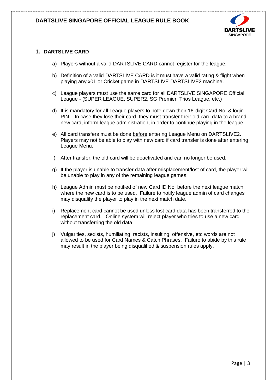

## **1. DARTSLIVE CARD**

- a) Players without a valid DARTSLIVE CARD cannot register for the league.
- b) Definition of a valid DARTSLIVE CARD is it must have a valid rating & flight when playing any x01 or Cricket game in DARTSLIVE DARTSLIVE2 machine.
- c) League players must use the same card for all DARTSLIVE SINGAPORE Official League - (SUPER LEAGUE, SUPER2, SG Premier, Trios League, etc.)
- d) It is mandatory for all League players to note down their 16-digit Card No. & login PIN. In case they lose their card, they must transfer their old card data to a brand new card, inform league administration, in order to continue playing in the league.
- e) All card transfers must be done before entering League Menu on DARTSLIVE2. Players may not be able to play with new card if card transfer is done after entering League Menu.
- f) After transfer, the old card will be deactivated and can no longer be used.
- g) If the player is unable to transfer data after misplacement/lost of card, the player will be unable to play in any of the remaining league games.
- h) League Admin must be notified of new Card ID No. before the next league match where the new card is to be used. Failure to notify league admin of card changes may disqualify the player to play in the next match date.
- i) Replacement card cannot be used unless lost card data has been transferred to the replacement card. Online system will reject player who tries to use a new card without transferring the old data.
- j) Vulgarities, sexists, humiliating, racists, insulting, offensive, etc words are not allowed to be used for Card Names & Catch Phrases. Failure to abide by this rule may result in the player being disqualified & suspension rules apply.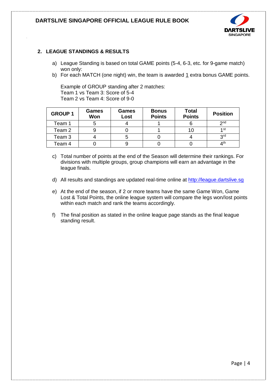

## **2. LEAGUE STANDINGS & RESULTS**

- a) League Standing is based on total GAME points (5-4, 6-3, etc. for 9-game match) won only:
- b) For each MATCH (one night) win, the team is awarded 1 extra bonus GAME points.

Example of GROUP standing after 2 matches: Team 1 vs Team 3: Score of 5-4 Team 2 vs Team 4: Score of 9-0

| <b>GROUP 1</b> | Games<br>Won | <b>Games</b><br>Lost | <b>Bonus</b><br><b>Points</b> | <b>Total</b><br><b>Points</b> | <b>Position</b> |
|----------------|--------------|----------------------|-------------------------------|-------------------------------|-----------------|
| Team 1         | 5            |                      |                               |                               | 2 <sub>nd</sub> |
| Team 2         |              |                      |                               | 10                            | 1 st            |
| Team 3         |              |                      |                               |                               | 3 <sup>rd</sup> |
| Team 4         |              |                      |                               |                               | 4 <sup>th</sup> |

- c) Total number of points at the end of the Season will determine their rankings. For divisions with multiple groups, group champions will earn an advantage in the league finals.
- d) All results and standings are updated real-time online at [http://league.dartslive.sg](http://league.dartslive.sg/)
- e) At the end of the season, if 2 or more teams have the same Game Won, Game Lost & Total Points, the online league system will compare the legs won/lost points within each match and rank the teams accordingly.
- f) The final position as stated in the online league page stands as the final league standing result.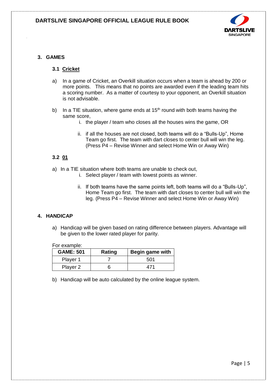

## **3. GAMES**

## **3.1 Cricket**

- a) In a game of Cricket, an Overkill situation occurs when a team is ahead by 200 or more points. This means that no points are awarded even if the leading team hits a scoring number. As a matter of courtesy to your opponent, an Overkill situation is not advisable.
- b) In a TIE situation, where game ends at  $15<sup>th</sup>$  round with both teams having the same score,
	- i. the player / team who closes all the houses wins the game, OR
	- ii. if all the houses are not closed, both teams will do a "Bulls-Up", Home Team go first. The team with dart closes to center bull will win the leg. (Press P4 – Revise Winner and select Home Win or Away Win)

## **3.2 01**

- a) In a TIE situation where both teams are unable to check out,
	- i. Select player / team with lowest points as winner.
		- ii. If both teams have the same points left, both teams will do a "Bulls-Up", Home Team go first. The team with dart closes to center bull will win the leg. (Press P4 – Revise Winner and select Home Win or Away Win)

## **4. HANDICAP**

a) Handicap will be given based on rating difference between players. Advantage will be given to the lower rated player for parity.

For example:

| <b>GAME: 501</b> | Rating | Begin game with |
|------------------|--------|-----------------|
| Player 1         |        | 501             |
| Player 2         |        |                 |

b) Handicap will be auto calculated by the online league system.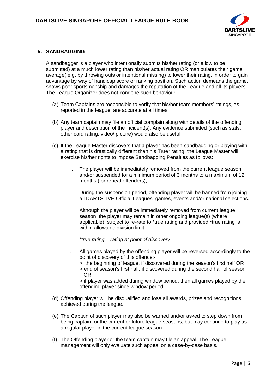

## **5. SANDBAGGING**

A sandbagger is a player who intentionally submits his/her rating (or allow to be submitted) at a much lower rating than his/her actual rating OR manipulates their game average( e.g. by throwing outs or intentional missing) to lower their rating, in order to gain advantage by way of handicap score or ranking position. Such action demeans the game, shows poor sportsmanship and damages the reputation of the League and all its players. The League Organizer does not condone such behaviour.

- (a) Team Captains are responsible to verify that his/her team members' ratings, as reported in the league, are accurate at all times;
- (b) Any team captain may file an official complain along with details of the offending player and description of the incident(s). Any evidence submitted (such as stats, other card rating, video/ picture) would also be useful
- (c) If the League Master discovers that a player has been sandbagging or playing with a rating that is drastically different than his True\* rating, the League Master will exercise his/her rights to impose Sandbagging Penalties as follows:
	- i. The player will be immediately removed from the current league season and/or suspended for a minimum period of 3 months to a maximum of 12 months (for repeat offenders);

During the suspension period, offending player will be banned from joining all DARTSLIVE Official Leagues, games, events and/or national selections.

Although the player will be immediately removed from current league season, the player may remain in other ongoing league(s) (where applicable), subject to re-rate to \*true rating and provided \*true rating is within allowable division limit;

*\*true rating = rating at point of discovery*

- ii. All games played by the offending player will be reversed accordingly to the point of discovery of this offence:-
	- > the beginning of league, if discovered during the season's first half OR
	- > end of season's first half, if discovered during the second half of season OR

> if player was added during window period, then all games played by the offending player since window period

- (d) Offending player will be disqualified and lose all awards, prizes and recognitions achieved during the league.
- (e) The Captain of such player may also be warned and/or asked to step down from being captain for the current or future league seasons, but may continue to play as a regular player in the current league season.
- (f) The Offending player or the team captain may file an appeal. The League management will only evaluate such appeal on a case-by-case basis.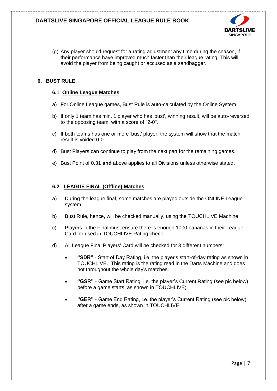

(g) Any player should request for a rating adjustment any time during the season, if their performance have improved much faster than their league rating. This will avoid the player from being caught or accused as a sandbagger.

## **6. BUST RULE**

#### **6.1 Online League Matches**

- a) For Online League games, Bust Rule is auto-calculated by the Online System
- b) If only 1 team has min. 1 player who has 'bust', winning result, will be auto-reversed to the opposing team, with a score of "2-0".
- c) If both teams has one or more 'bust' player, the system will show that the match result is voided 0-0.
- d) Bust Players can continue to play from the next part for the remaining games.
- e) Bust Point of 0.31 **and** above applies to all Divisions unless otherwise stated.

## **6.2 LEAGUE FINAL (Offline) Matches**

- a) During the league final, some matches are played outside the ONLINE League system.
- b) Bust Rule, hence, will be checked manually, using the TOUCHLIVE Machine.
- c) Players in the Final must ensure there is enough 1000 bananas in their League Card for used in TOUCHLIVE Rating check.
- d) All League Final Players' Card will be checked for 3 different numbers:
	- **"SDR"** Start of Day Rating, i.e. the player's start-of-day rating as shown in TOUCHLIVE. This rating is the rating read in the Darts Machine and does not throughout the whole day's matches.
	- **"GSR"** Game Start Rating, i.e. the player's Current Rating (see pic below) before a game starts, as shown in TOUCHLIVE;
	- **"GER"** Game End Rating, i.e. the player's Current Rating (see pic below) after a game ends, as shown in TOUCHLIVE.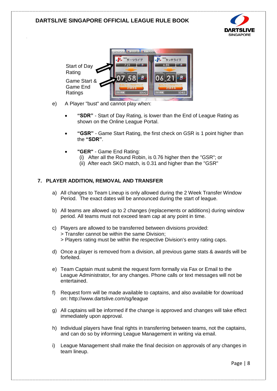



- e) A Player "bust" and cannot play when:
	- **"SDR"** Start of Day Rating, is lower than the End of League Rating as shown on the Online League Portal.
	- **"GSR"** Game Start Rating, the first check on GSR is 1 point higher than the **"SDR"**.
	- **"GER"** Game End Rating:
		- (i) After all the Round Robin, is 0.76 higher then the "GSR"; or
		- (ii) After each SKO match, is 0.31 and higher than the "GSR"

## **7. PLAYER ADDITION, REMOVAL AND TRANSFER**

- a) All changes to Team Lineup is only allowed during the 2 Week Transfer Window Period. The exact dates will be announced during the start of league.
- b) All teams are allowed up to 2 changes (replacements or additions) during window period. All teams must not exceed team cap at any point in time.
- c) Players are allowed to be transferred between divisions provided: > Transfer cannot be within the same Division; > Players rating must be within the respective Division's entry rating caps.
- d) Once a player is removed from a division, all previous game stats & awards will be forfeited.
- e) Team Captain must submit the request form formally via Fax or Email to the League Administrator, for any changes. Phone calls or text messages will not be entertained.
- f) Request form will be made available to captains, and also available for download on: http://www.dartslive.com/sg/league
- g) All captains will be informed if the change is approved and changes will take effect immediately upon approval.
- h) Individual players have final rights in transferring between teams, not the captains, and can do so by informing League Management in writing via email.
- i) League Management shall make the final decision on approvals of any changes in team lineup.

Page | 8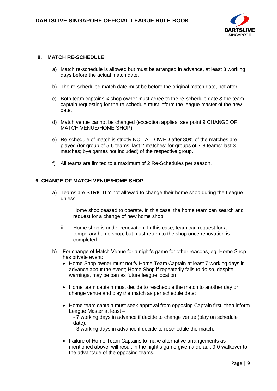

## **8. MATCH RE-SCHEDULE**

- a) Match re-schedule is allowed but must be arranged in advance, at least 3 working days before the actual match date.
- b) The re-scheduled match date must be before the original match date, not after.
- c) Both team captains & shop owner must agree to the re-schedule date & the team captain requesting for the re-schedule must inform the league master of the new date.
- d) Match venue cannot be changed (exception applies, see point 9 CHANGE OF MATCH VENUE/HOME SHOP)
- e) Re-schedule of match is strictly NOT ALLOWED after 80% of the matches are played (for group of 5-6 teams: last 2 matches; for groups of 7-8 teams: last 3 matches; bye games not included) of the respective group.
- f) All teams are limited to a maximum of 2 Re-Schedules per season.

#### **9. CHANGE OF MATCH VENUE/HOME SHOP**

- a) Teams are STRICTLY not allowed to change their home shop during the League unless:
	- i. Home shop ceased to operate. In this case, the home team can search and request for a change of new home shop.
	- ii. Home shop is under renovation. In this case, team can request for a temporary home shop, but must return to the shop once renovation is completed.
- b) For change of Match Venue for a night's game for other reasons, eg. Home Shop has private event:
	- Home Shop owner must notify Home Team Captain at least 7 working days in advance about the event; Home Shop if repeatedly fails to do so, despite warnings, may be ban as future league location;
	- Home team captain must decide to reschedule the match to another day or change venue and play the match as per schedule date;
	- Home team captain must seek approval from opposing Captain first, then inform League Master at least –
		- 7 working days in advance if decide to change venue (play on schedule date);
		- 3 working days in advance if decide to reschedule the match;
	- Failure of Home Team Captains to make alternative arrangements as mentioned above, will result in the night's game given a default 9-0 walkover to the advantage of the opposing teams.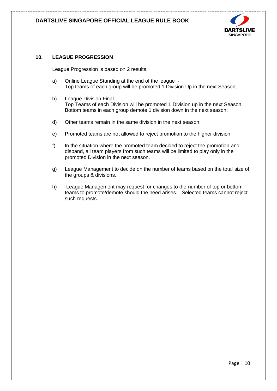

## **10. LEAGUE PROGRESSION**

League Progression is based on 2 results:

- a) Online League Standing at the end of the league Top teams of each group will be promoted 1 Division Up in the next Season;
- b) League Division Final Top Teams of each Division will be promoted 1 Division up in the next Season; Bottom teams in each group demote 1 division down in the next season;
- d) Other teams remain in the same division in the next season;
- e) Promoted teams are not allowed to reject promotion to the higher division.
- f) In the situation where the promoted team decided to reject the promotion and disband, all team players from such teams will be limited to play only in the promoted Division in the next season.
- g) League Management to decide on the number of teams based on the total size of the groups & divisions.
- h) League Management may request for changes to the number of top or bottom teams to promote/demote should the need arises. Selected teams cannot reject such requests.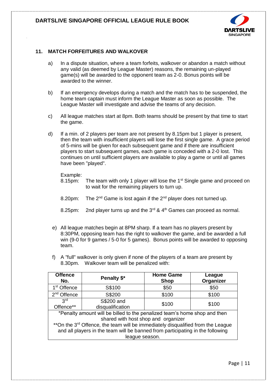

## **11. MATCH FORFEITURES AND WALKOVER**

- a) In a dispute situation, where a team forfeits, walkover or abandon a match without any valid (as deemed by League Master) reasons, the remaining un-played game(s) will be awarded to the opponent team as 2-0. Bonus points will be awarded to the winner.
- b) If an emergency develops during a match and the match has to be suspended, the home team captain must inform the League Master as soon as possible. The League Master will investigate and advise the teams of any decision.
- c) All league matches start at 8pm. Both teams should be present by that time to start the game.
- d) If a min. of 2 players per team are not present by 8.15pm but 1 player is present, then the team with insufficient players will lose the first single game. A grace period of 5-mins will be given for each subsequent game and if there are insufficient players to start subsequent games, each game is conceded with a 2-0 lost. This continues on until sufficient players are available to play a game or until all games have been "played".

#### Example:

- 8.15pm: The team with only 1 player will lose the 1<sup>st</sup> Single game and proceed on to wait for the remaining players to turn up.
- 8.20pm: The  $2^{nd}$  Game is lost again if the  $2^{nd}$  player does not turned up.
- 8.25pm: 2nd player turns up and the  $3^{rd}$  &  $4^{th}$  Games can proceed as normal.
- e) All league matches begin at 8PM sharp. If a team has no players present by 8:30PM, opposing team has the right to walkover the game, and be awarded a full win (9-0 for 9 games / 5-0 for 5 games). Bonus points will be awarded to opposing team.
- f) A "full" walkover is only given if none of the players of a team are present by 8.30pm. Walkover team will be penalized with:

| <b>Offence</b><br>No.                                                                       | Penalty \$*      | <b>Home Game</b><br><b>Shop</b> | League<br>Organizer |  |
|---------------------------------------------------------------------------------------------|------------------|---------------------------------|---------------------|--|
| 1 <sup>st</sup> Offence                                                                     | S\$100           | \$50                            | \$50                |  |
| 2 <sup>nd</sup> Offence                                                                     | S\$200           | \$100                           | \$100               |  |
| 3 <sup>rd</sup>                                                                             | S\$200 and       | \$100                           | \$100               |  |
| Offence**                                                                                   | disqualification |                                 |                     |  |
| *Penalty amount will be billed to the penalized team's home shop and then                   |                  |                                 |                     |  |
| shared with host shop and organizer                                                         |                  |                                 |                     |  |
| **On the 3 <sup>rd</sup> Offence, the team will be immediately disqualified from the League |                  |                                 |                     |  |
| and all players in the team will be banned from participating in the following              |                  |                                 |                     |  |
| league season.                                                                              |                  |                                 |                     |  |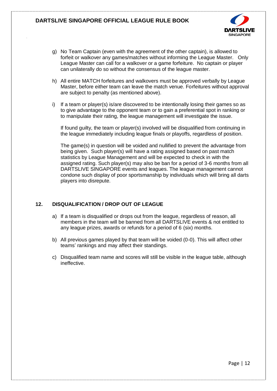

- g) No Team Captain (even with the agreement of the other captain), is allowed to forfeit or walkover any games/matches without informing the League Master. Only League Master can call for a walkover or a game forfeiture. No captain or player can unilaterally do so without the consensus of the league master.
- h) All entire MATCH forfeitures and walkovers must be approved verbally by League Master, before either team can leave the match venue. Forfeitures without approval are subject to penalty (as mentioned above).
- i) If a team or player(s) is/are discovered to be intentionally losing their games so as to give advantage to the opponent team or to gain a preferential spot in ranking or to manipulate their rating, the league management will investigate the issue.

If found guilty, the team or player(s) involved will be disqualified from continuing in the league immediately including league finals or playoffs, regardless of position.

The game(s) in question will be voided and nullified to prevent the advantage from being given. Such player(s) will have a rating assigned based on past match statistics by League Management and will be expected to check in with the assigned rating. Such player(s) may also be ban for a period of 3-6 months from all DARTSLIVE SINGAPORE events and leagues. The league management cannot condone such display of poor sportsmanship by individuals which will bring all darts players into disrepute.

## **12. DISQUALIFICATION / DROP OUT OF LEAGUE**

- a) If a team is disqualified or drops out from the league, regardless of reason, all members in the team will be banned from all DARTSLIVE events & not entitled to any league prizes, awards or refunds for a period of 6 (six) months.
- b) All previous games played by that team will be voided (0-0). This will affect other teams' rankings and may affect their standings.
- c) Disqualified team name and scores will still be visible in the league table, although ineffective.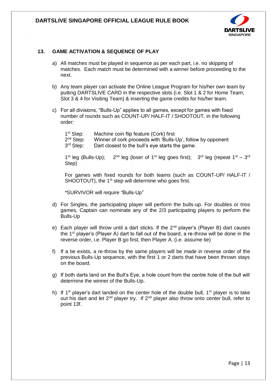

## **13. GAME ACTIVATION & SEQUENCE OF PLAY**

- a) All matches must be played in sequence as per each part, i.e. no skipping of matches. Each match must be determined with a winner before proceeding to the next.
- b) Any team player can activate the Online League Program for his/her own team by putting DARTSLIVE CARD in the respective slots (i.e. Slot 1 & 2 for Home Team; Slot 3 & 4 for Visiting Team) & inserting the game credits for his/her team.
- c) For all divisions, "Bulls-Up" applies to all games, except for games with fixed number of rounds such as COUNT-UP/ HALF-IT / SHOOTOUT, in the following order:

| 1 <sup>st</sup> Step: | Machine coin flip feature (Cork) first                      |
|-----------------------|-------------------------------------------------------------|
| 2 <sup>nd</sup> Step: | Winner of cork proceeds with 'Bulls-Up', follow by opponent |
| 3 <sup>rd</sup> Step: | Dart closest to the bull's eye starts the game.             |

 $1<sup>st</sup>$  leg (Bulls-Up); <sup>st</sup> leg (Bulls-Up); 2<sup>nd</sup> leg (loser of 1<sup>st</sup> leg goes first); 3<sup>rd</sup> leg (repeat 1<sup>st</sup> – 3<sup>rd</sup> Step)

For games with fixed rounds for both teams (such as COUNT-UP/ HALF-IT / SHOOTOUT), the 1<sup>st</sup> step will determine who goes first.

\*SURVIVOR will require "Bulls-Up"

- d) For Singles, the participating player will perform the bulls-up. For doubles or trios games, Captain can nominate any of the 2/3 participating players to perform the Bulls-Up
- e) Each player will throw until a dart sticks. If the 2<sup>nd</sup> player's (Player B) dart causes the 1<sup>st</sup> player's (Player A) dart to fall out of the board, a re-throw will be done in the reverse order, i.e. Player B go first, then Player A. (i.e. assume tie)
- f) If a tie exists, a re-throw by the same players will be made in reverse order of the previous Bulls-Up sequence, with the first 1 or 2 darts that have been thrown stays on the board.
- g) If both darts land on the Bull's Eye, a hole count from the centre hole of the bull will determine the winner of the Bulls-Up.
- h) If 1<sup>st</sup> player's dart landed on the center hole of the double bull, 1<sup>st</sup> player is to take out his dart and let  $2^{nd}$  player try. If  $2^{nd}$  player also throw onto center bull, refer to point 13f.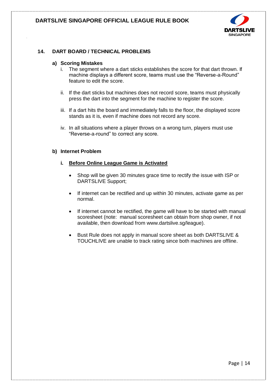

## **14. DART BOARD / TECHNICAL PROBLEMS**

#### **a) Scoring Mistakes**

- i. The segment where a dart sticks establishes the score for that dart thrown. If machine displays a different score, teams must use the "Reverse-a-Round" feature to edit the score.
- ii. If the dart sticks but machines does not record score, teams must physically press the dart into the segment for the machine to register the score.
- iii. If a dart hits the board and immediately falls to the floor, the displayed score stands as it is, even if machine does not record any score.
- iv. In all situations where a player throws on a wrong turn, players must use "Reverse-a-round" to correct any score.

#### **b) Internet Problem**

#### **i. Before Online League Game is Activated**

- Shop will be given 30 minutes grace time to rectify the issue with ISP or DARTSLIVE Support;
- If internet can be rectified and up within 30 minutes, activate game as per normal.
- If internet cannot be rectified, the game will have to be started with manual scoresheet (note: manual scoresheet can obtain from shop owner, if not available, then download from www.dartslive.sg/league).
- Bust Rule does not apply in manual score sheet as both DARTSLIVE & TOUCHLIVE are unable to track rating since both machines are offline.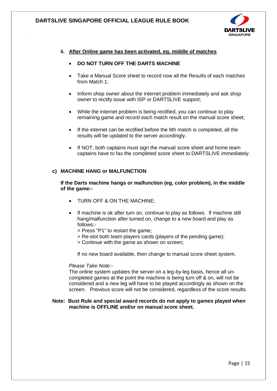

#### **ii. After Online game has been activated, eg. middle of matches**

#### **DO NOT TURN OFF THE DARTS MACHINE**

- Take a Manual Score sheet to record now all the Results of each matches from Match 1;
- Inform shop owner about the internet problem immediately and ask shop owner to rectify issue with ISP or DARTSLIVE support;
- While the internet problem is being rectified, you can continue to play remaining game and record each match result on the manual score sheet;
- If the internet can be rectified before the 9th match is completed, all the results will be updated to the server accordingly.
- If NOT, both captains must sign the manual score sheet and home team captains have to fax the completed score sheet to DARTSLIVE immediately.

#### **c) MACHINE HANG or MALFUNCTION**

**If the Darts machine hangs or malfunction (eg, color problem), in the middle of the game:-**

- TURN OFF & ON THE MACHINE;
- If machine is ok after turn on, continue to play as follows. If machine still hang/malfunction after turned on, change to a new board and play as follows:-
	- > Press "P1" to restart the game;
	- > Re-slot both team players cards (players of the pending game);
	- > Continue with the game as shown on screen;

If no new board available, then change to manual score sheet system.

## *Please Take Note:-*

The online system updates the server on a leg-by-leg basis, hence all uncompleted games at the point the machine is being turn off & on, will not be considered and a new leg will have to be played accordingly as shown on the screen. Previous score will not be considered, regardless of the score results.

#### **Note: Bust Rule and special award records do not apply to games played when machine is OFFLINE and/or on manual score sheet.**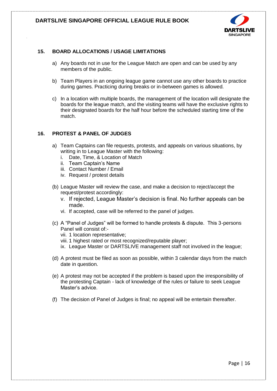

## **15. BOARD ALLOCATIONS / USAGE LIMITATIONS**

- a) Any boards not in use for the League Match are open and can be used by any members of the public.
- b) Team Players in an ongoing league game cannot use any other boards to practice during games. Practicing during breaks or in-between games is allowed.
- c) In a location with multiple boards, the management of the location will designate the boards for the league match, and the visiting teams will have the exclusive rights to their designated boards for the half hour before the scheduled starting time of the match.

## **16. PROTEST & PANEL OF JUDGES**

- a) Team Captains can file requests, protests, and appeals on various situations, by writing in to League Master with the following:
	- i. Date, Time, & Location of Match
	- ii. Team Captain's Name
	- iii. Contact Number / Email
	- iv. Request / protest details
- (b) League Master will review the case, and make a decision to reject/accept the request/protest accordingly:
	- v. If rejected, League Master's decision is final. No further appeals can be made.
	- vi. If accepted, case will be referred to the panel of judges.
- (c) A "Panel of Judges" will be formed to handle protests & dispute. This 3-persons Panel will consist of:
	- vii. 1 location representative;
	- viii. 1 highest rated or most recognized/reputable player;
	- ix. League Master or DARTSLIVE management staff not involved in the league;
- (d) A protest must be filed as soon as possible, within 3 calendar days from the match date in question.
- (e) A protest may not be accepted if the problem is based upon the irresponsibility of the protesting Captain - lack of knowledge of the rules or failure to seek League Master's advice.
- (f) The decision of Panel of Judges is final; no appeal will be entertain thereafter.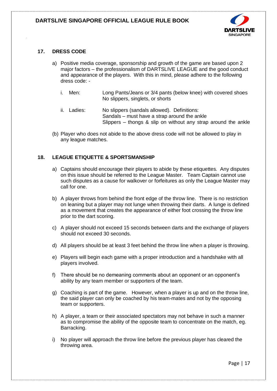

## **17. DRESS CODE**

- a) Positive media coverage, sponsorship and growth of the game are based upon 2 major factors – the professionalism of DARTSLIVE LEAGUE and the good conduct and appearance of the players. With this in mind, please adhere to the following dress code:
	- i. Men: Long Pants/Jeans or 3/4 pants (below knee) with covered shoes No slippers, singlets, or shorts
	- ii. Ladies: No slippers (sandals allowed). Definitions: Sandals – must have a strap around the ankle Slippers – thongs & slip on without any strap around the ankle
- (b) Player who does not abide to the above dress code will not be allowed to play in any league matches.

## **18. LEAGUE ETIQUETTE & SPORTSMANSHIP**

- a) Captains should encourage their players to abide by these etiquettes. Any disputes on this issue should be referred to the League Master. Team Captain cannot use such disputes as a cause for walkover or forfeitures as only the League Master may call for one.
- b) A player throws from behind the front edge of the throw line. There is no restriction on leaning but a player may not lunge when throwing their darts. A lunge is defined as a movement that creates the appearance of either foot crossing the throw line prior to the dart scoring.
- c) A player should not exceed 15 seconds between darts and the exchange of players should not exceed 30 seconds.
- d) All players should be at least 3 feet behind the throw line when a player is throwing.
- e) Players will begin each game with a proper introduction and a handshake with all players involved.
- f) There should be no demeaning comments about an opponent or an opponent's ability by any team member or supporters of the team.
- g) Coaching is part of the game. However, when a player is up and on the throw line, the said player can only be coached by his team-mates and not by the opposing team or supporters.
- h) A player, a team or their associated spectators may not behave in such a manner as to compromise the ability of the opposite team to concentrate on the match, eg. Barracking.
- i) No player will approach the throw line before the previous player has cleared the throwing area.

Page | 17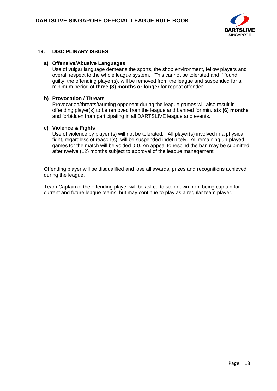

## **19. DISCIPLINARY ISSUES**

#### **a) Offensive/Abusive Languages**

Use of vulgar language demeans the sports, the shop environment, fellow players and overall respect to the whole league system. This cannot be tolerated and if found guilty, the offending player(s), will be removed from the league and suspended for a minimum period of **three (3) months or longer** for repeat offender.

#### **b) Provocation / Threats**

Provocation/threats/taunting opponent during the league games will also result in offending player(s) to be removed from the league and banned for min. **six (6) months**  and forbidden from participating in all DARTSLIVE league and events.

#### **c) Violence & Fights**

Use of violence by player (s) will not be tolerated. All player(s) involved in a physical fight, regardless of reason(s), will be suspended indefinitely. All remaining un-played games for the match will be voided 0-0. An appeal to rescind the ban may be submitted after twelve (12) months subject to approval of the league management.

Offending player will be disqualified and lose all awards, prizes and recognitions achieved during the league.

Team Captain of the offending player will be asked to step down from being captain for current and future league teams, but may continue to play as a regular team player.